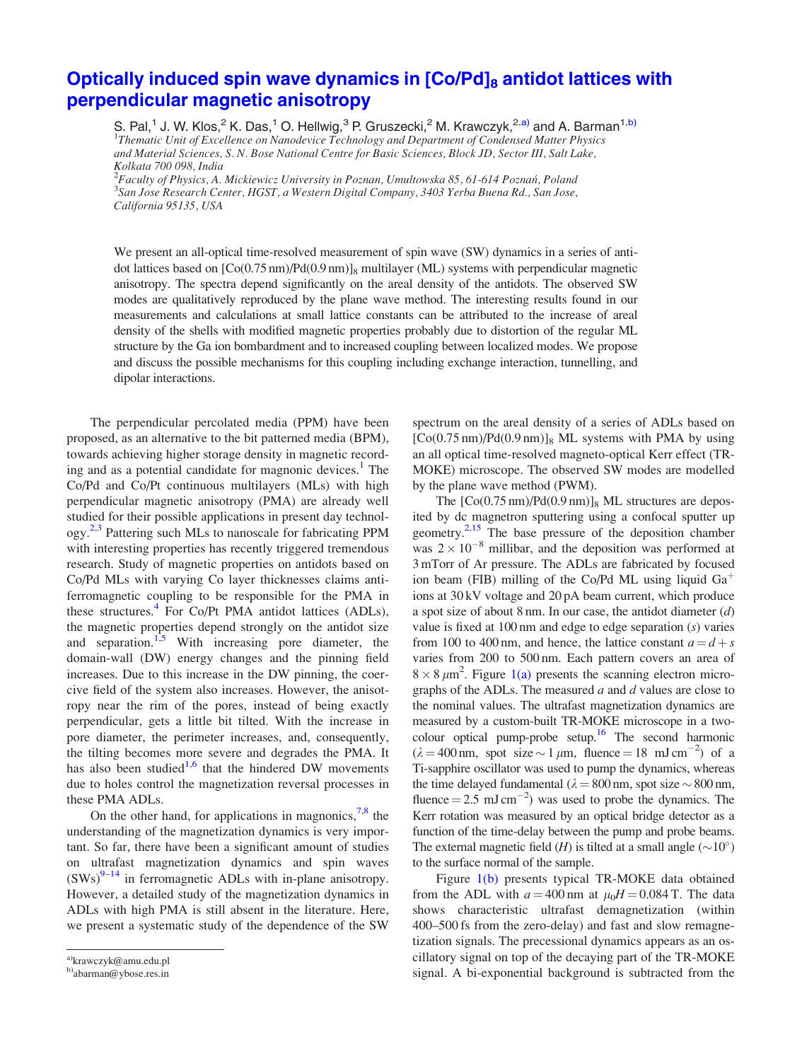## Optically induced spin wave dynamics in  $[Co/Pd]_8$  [antidot lattices with](http://dx.doi.org/10.1063/1.4898774) [perpendicular magnetic anisotropy](http://dx.doi.org/10.1063/1.4898774)

S. Pal,<sup>1</sup> J. W. Klos,<sup>2</sup> K. Das,<sup>1</sup> O. Hellwig,<sup>3</sup> P. Gruszecki,<sup>2</sup> M. Krawczyk,<sup>2,a)</sup> and A. Barman<sup>1,b)</sup> <sup>1</sup>Thematic Unit of Excellence on Nanodevice Technology and Department of Condensed Matter Physics and Material Sciences, S. N. Bose National Centre for Basic Sciences, Block JD, Sector III, Salt Lake, Kolkata 700 098, India

 $^2$ Faculty of Physics, A. Mickiewicz University in Poznan, Umultowska 85, 61-614 Poznań, Poland 3 San Jose Research Center, HGST, a Western Digital Company, 3403 Yerba Buena Rd., San Jose, California 95135, USA

We present an all-optical time-resolved measurement of spin wave (SW) dynamics in a series of antidot lattices based on  $[Co(0.75 \text{ nm})/Pd(0.9 \text{ nm})]_8$  multilayer (ML) systems with perpendicular magnetic anisotropy. The spectra depend significantly on the areal density of the antidots. The observed SW modes are qualitatively reproduced by the plane wave method. The interesting results found in our measurements and calculations at small lattice constants can be attributed to the increase of areal density of the shells with modified magnetic properties probably due to distortion of the regular ML structure by the Ga ion bombardment and to increased coupling between localized modes. We propose and discuss the possible mechanisms for this coupling including exchange interaction, tunnelling, and dipolar interactions.

The perpendicular percolated media (PPM) have been proposed, as an alternative to the bit patterned media (BPM), towards achieving higher storage density in magnetic record-ing and as a potential candidate for magnonic devices.<sup>[1](#page-3-0)</sup> The Co/Pd and Co/Pt continuous multilayers (MLs) with high perpendicular magnetic anisotropy (PMA) are already well studied for their possible applications in present day technol-ogy.<sup>[2,3](#page-3-0)</sup> Pattering such MLs to nanoscale for fabricating PPM with interesting properties has recently triggered tremendous research. Study of magnetic properties on antidots based on Co/Pd MLs with varying Co layer thicknesses claims antiferromagnetic coupling to be responsible for the PMA in these structures. $4$  For Co/Pt PMA antidot lattices (ADLs), the magnetic properties depend strongly on the antidot size and separation.<sup>[1,5](#page-3-0)</sup> With increasing pore diameter, the domain-wall (DW) energy changes and the pinning field increases. Due to this increase in the DW pinning, the coercive field of the system also increases. However, the anisotropy near the rim of the pores, instead of being exactly perpendicular, gets a little bit tilted. With the increase in pore diameter, the perimeter increases, and, consequently, the tilting becomes more severe and degrades the PMA. It has also been studied<sup>[1,6](#page-3-0)</sup> that the hindered DW movements due to holes control the magnetization reversal processes in these PMA ADLs.

On the other hand, for applications in magnonics,  $7,8$  the understanding of the magnetization dynamics is very important. So far, there have been a significant amount of studies on ultrafast magnetization dynamics and spin waves  $(SWs)^{9-14}$  in ferromagnetic ADLs with in-plane anisotropy. However, a detailed study of the magnetization dynamics in ADLs with high PMA is still absent in the literature. Here, we present a systematic study of the dependence of the SW spectrum on the areal density of a series of ADLs based on  $[Co(0.75 \text{ nm})/Pd(0.9 \text{ nm})]_8$  ML systems with PMA by using an all optical time-resolved magneto-optical Kerr effect (TR-MOKE) microscope. The observed SW modes are modelled by the plane wave method (PWM).

The  $[Co(0.75 \text{ nm})/Pd(0.9 \text{ nm})]_8$  ML structures are deposited by dc magnetron sputtering using a confocal sputter up geometry.[2,15](#page-3-0) The base pressure of the deposition chamber was  $2 \times 10^{-8}$  millibar, and the deposition was performed at 3 mTorr of Ar pressure. The ADLs are fabricated by focused ion beam (FIB) milling of the Co/Pd ML using liquid  $Ga<sup>+</sup>$ ions at 30 kV voltage and 20 pA beam current, which produce a spot size of about 8 nm. In our case, the antidot diameter  $(d)$ value is fixed at  $100 \text{ nm}$  and edge to edge separation  $(s)$  varies from 100 to 400 nm, and hence, the lattice constant  $a = d + s$ varies from 200 to 500 nm. Each pattern covers an area of  $8 \times 8 \mu m^2$ . Figure [1\(a\)](#page-1-0) presents the scanning electron micrographs of the ADLs. The measured  $a$  and  $d$  values are close to the nominal values. The ultrafast magnetization dynamics are measured by a custom-built TR-MOKE microscope in a twocolour optical pump-probe setup.<sup>16</sup> The second harmonic  $(\lambda = 400 \text{ nm}, \text{ spot size} \sim 1 \text{ µm}, \text{fluence} = 18 \text{ mJ cm}^{-2}) \text{ of a}$ Ti-sapphire oscillator was used to pump the dynamics, whereas the time delayed fundamental ( $\lambda = 800$  nm, spot size  $\sim 800$  nm, fluence = 2.5 mJ cm<sup>-2</sup>) was used to probe the dynamics. The Kerr rotation was measured by an optical bridge detector as a function of the time-delay between the pump and probe beams. The external magnetic field (*H*) is tilted at a small angle ( $\sim$ 10°) to the surface normal of the sample.

Figure [1\(b\)](#page-1-0) presents typical TR-MOKE data obtained from the ADL with  $a = 400$  nm at  $\mu_0H = 0.084$  T. The data shows characteristic ultrafast demagnetization (within 400–500 fs from the zero-delay) and fast and slow remagnetization signals. The precessional dynamics appears as an oscillatory signal on top of the decaying part of the TR-MOKE signal. A bi-exponential background is subtracted from the

a)[krawczyk@amu.edu.pl](mailto:krawczyk@amu.edu.pl)

b[\)abarman@ybose.res.in](mailto:abarman@ybose.res.in)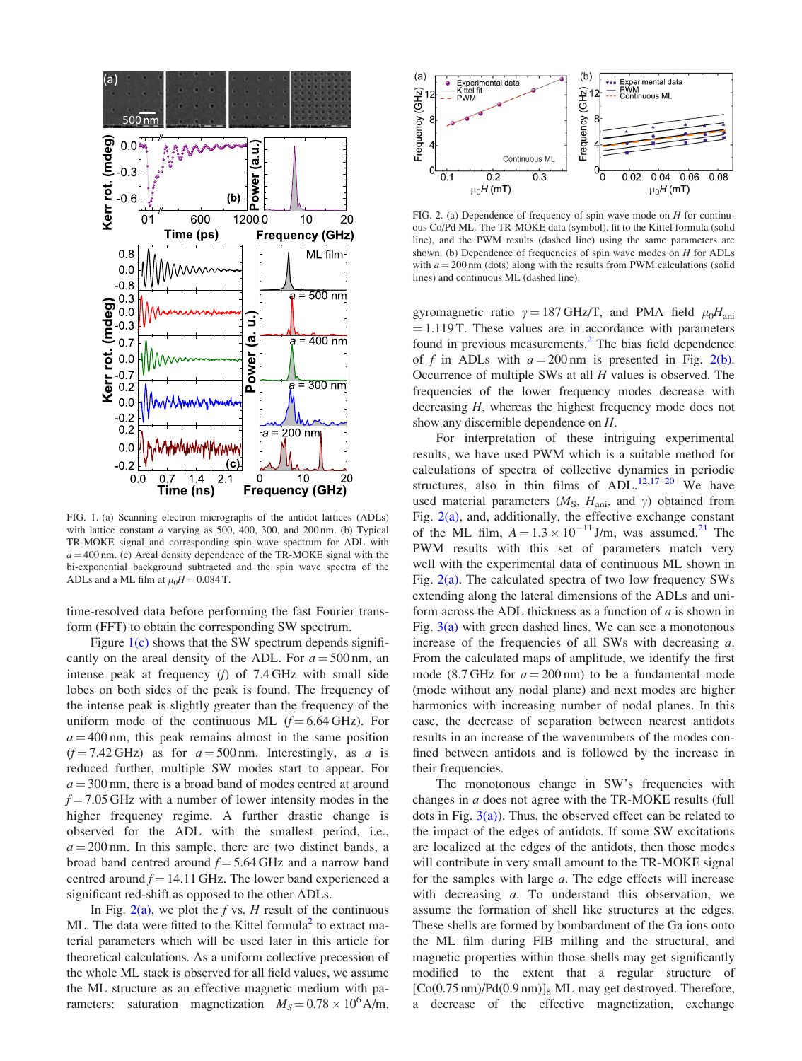<span id="page-1-0"></span>

FIG. 1. (a) Scanning electron micrographs of the antidot lattices (ADLs) with lattice constant  $a$  varying as 500, 400, 300, and 200 nm. (b) Typical TR-MOKE signal and corresponding spin wave spectrum for ADL with  $a = 400$  nm. (c) Areal density dependence of the TR-MOKE signal with the bi-exponential background subtracted and the spin wave spectra of the ADLs and a ML film at  $\mu_0H = 0.084$  T.

time-resolved data before performing the fast Fourier transform (FFT) to obtain the corresponding SW spectrum.

Figure  $1(c)$  shows that the SW spectrum depends significantly on the areal density of the ADL. For  $a = 500$  nm, an intense peak at frequency  $(f)$  of 7.4 GHz with small side lobes on both sides of the peak is found. The frequency of the intense peak is slightly greater than the frequency of the uniform mode of the continuous ML  $(f=6.64 \text{ GHz})$ . For  $a = 400$  nm, this peak remains almost in the same position  $(f = 7.42 \text{ GHz})$  as for  $a = 500 \text{ nm}$ . Interestingly, as a is reduced further, multiple SW modes start to appear. For  $a = 300$  nm, there is a broad band of modes centred at around  $f = 7.05$  GHz with a number of lower intensity modes in the higher frequency regime. A further drastic change is observed for the ADL with the smallest period, i.e.,  $a = 200$  nm. In this sample, there are two distinct bands, a broad band centred around  $f = 5.64$  GHz and a narrow band centred around  $f = 14.11$  GHz. The lower band experienced a significant red-shift as opposed to the other ADLs.

In Fig. 2(a), we plot the f vs. H result of the continuous ML. The data were fitted to the Kittel formula<sup>2</sup> to extract material parameters which will be used later in this article for theoretical calculations. As a uniform collective precession of the whole ML stack is observed for all field values, we assume the ML structure as an effective magnetic medium with parameters: saturation magnetization  $M_S = 0.78 \times 10^6$  A/m,



FIG. 2. (a) Dependence of frequency of spin wave mode on H for continuous Co/Pd ML. The TR-MOKE data (symbol), fit to the Kittel formula (solid line), and the PWM results (dashed line) using the same parameters are shown. (b) Dependence of frequencies of spin wave modes on H for ADLs with  $a = 200$  nm (dots) along with the results from PWM calculations (solid lines) and continuous ML (dashed line).

gyromagnetic ratio  $\gamma = 187 \text{ GHz/T}$ , and PMA field  $\mu_0H_{\text{ani}}$  $= 1.119$  T. These values are in accordance with parameters found in previous measurements.<sup>2</sup> The bias field dependence of f in ADLs with  $a = 200$  nm is presented in Fig. 2(b). Occurrence of multiple SWs at all  $H$  values is observed. The frequencies of the lower frequency modes decrease with decreasing H, whereas the highest frequency mode does not show any discernible dependence on H.

For interpretation of these intriguing experimental results, we have used PWM which is a suitable method for calculations of spectra of collective dynamics in periodic structures, also in thin films of ADL. $12,17-20$  $12,17-20$  We have used material parameters  $(M_S, H_{\text{ani}}, \text{ and } \gamma)$  obtained from Fig. 2(a), and, additionally, the effective exchange constant of the ML film,  $A = 1.3 \times 10^{-11}$  J/m, was assumed.<sup>21</sup> The PWM results with this set of parameters match very well with the experimental data of continuous ML shown in Fig. 2(a). The calculated spectra of two low frequency SWs extending along the lateral dimensions of the ADLs and uniform across the ADL thickness as a function of  $a$  is shown in Fig.  $3(a)$  with green dashed lines. We can see a monotonous increase of the frequencies of all SWs with decreasing a. From the calculated maps of amplitude, we identify the first mode (8.7 GHz for  $a = 200 \text{ nm}$ ) to be a fundamental mode (mode without any nodal plane) and next modes are higher harmonics with increasing number of nodal planes. In this case, the decrease of separation between nearest antidots results in an increase of the wavenumbers of the modes confined between antidots and is followed by the increase in their frequencies.

The monotonous change in SW's frequencies with changes in a does not agree with the TR-MOKE results (full dots in Fig.  $3(a)$ ). Thus, the observed effect can be related to the impact of the edges of antidots. If some SW excitations are localized at the edges of the antidots, then those modes will contribute in very small amount to the TR-MOKE signal for the samples with large a. The edge effects will increase with decreasing a. To understand this observation, we assume the formation of shell like structures at the edges. These shells are formed by bombardment of the Ga ions onto the ML film during FIB milling and the structural, and magnetic properties within those shells may get significantly modified to the extent that a regular structure of  $[Co(0.75 \text{ nm})/Pd(0.9 \text{ nm})]_8$  ML may get destroyed. Therefore, a decrease of the effective magnetization, exchange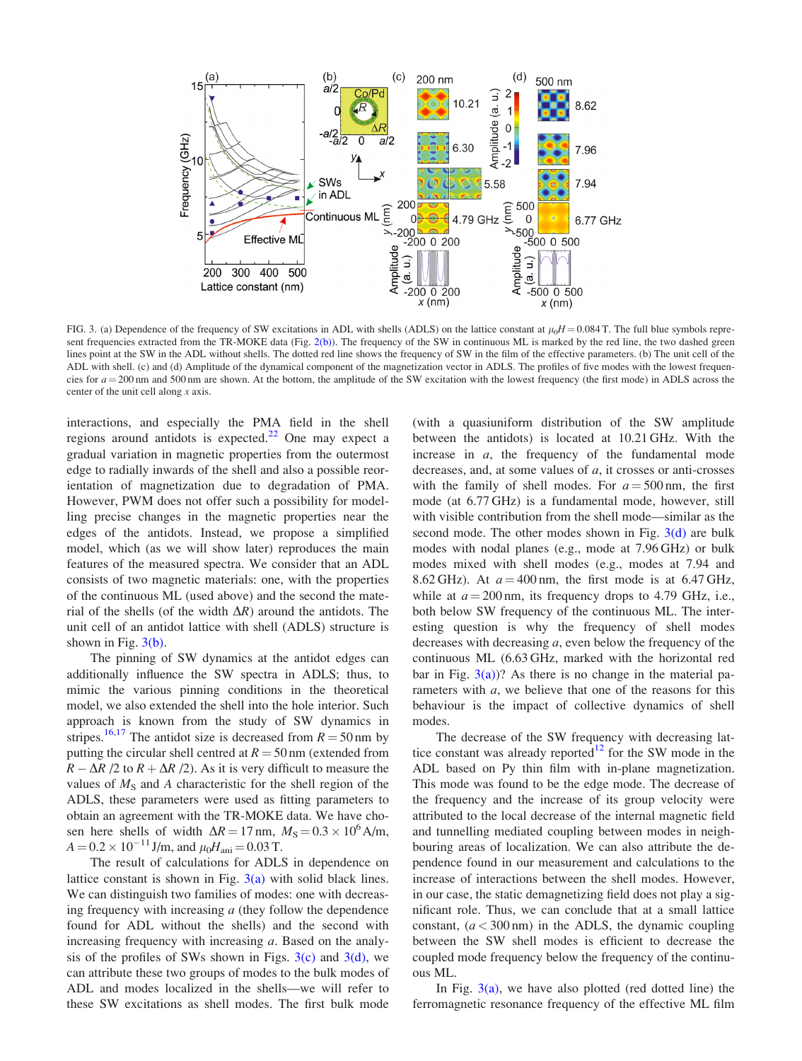<span id="page-2-0"></span>

FIG. 3. (a) Dependence of the frequency of SW excitations in ADL with shells (ADLS) on the lattice constant at  $\mu_0H = 0.084$  T. The full blue symbols repre-sent frequencies extracted from the TR-MOKE data (Fig. [2\(b\)](#page-1-0)). The frequency of the SW in continuous ML is marked by the red line, the two dashed green lines point at the SW in the ADL without shells. The dotted red line shows the frequency of SW in the film of the effective parameters. (b) The unit cell of the ADL with shell. (c) and (d) Amplitude of the dynamical component of the magnetization vector in ADLS. The profiles of five modes with the lowest frequencies for  $a = 200$  nm and 500 nm are shown. At the bottom, the amplitude of the SW excitation with the lowest frequency (the first mode) in ADLS across the center of the unit cell along  $x$  axis.

interactions, and especially the PMA field in the shell regions around antidots is expected. $22$  One may expect a gradual variation in magnetic properties from the outermost edge to radially inwards of the shell and also a possible reorientation of magnetization due to degradation of PMA. However, PWM does not offer such a possibility for modelling precise changes in the magnetic properties near the edges of the antidots. Instead, we propose a simplified model, which (as we will show later) reproduces the main features of the measured spectra. We consider that an ADL consists of two magnetic materials: one, with the properties of the continuous ML (used above) and the second the material of the shells (of the width  $\Delta R$ ) around the antidots. The unit cell of an antidot lattice with shell (ADLS) structure is shown in Fig.  $3(b)$ .

The pinning of SW dynamics at the antidot edges can additionally influence the SW spectra in ADLS; thus, to mimic the various pinning conditions in the theoretical model, we also extended the shell into the hole interior. Such approach is known from the study of SW dynamics in stripes.<sup>16,17</sup> The antidot size is decreased from  $R = 50$  nm by putting the circular shell centred at  $R = 50$  nm (extended from  $R - \Delta R$  /2 to  $R + \Delta R$  /2). As it is very difficult to measure the values of  $M<sub>S</sub>$  and A characteristic for the shell region of the ADLS, these parameters were used as fitting parameters to obtain an agreement with the TR-MOKE data. We have chosen here shells of width  $\Delta R = 17$  nm,  $M_S = 0.3 \times 10^6$  A/m,  $A = 0.2 \times 10^{-11}$  J/m, and  $\mu_0 H_{\text{ani}} = 0.03$  T.

The result of calculations for ADLS in dependence on lattice constant is shown in Fig.  $3(a)$  with solid black lines. We can distinguish two families of modes: one with decreasing frequency with increasing  $a$  (they follow the dependence found for ADL without the shells) and the second with increasing frequency with increasing  $a$ . Based on the analysis of the profiles of SWs shown in Figs.  $3(c)$  and  $3(d)$ , we can attribute these two groups of modes to the bulk modes of ADL and modes localized in the shells—we will refer to these SW excitations as shell modes. The first bulk mode (with a quasiuniform distribution of the SW amplitude between the antidots) is located at 10.21 GHz. With the increase in  $a$ , the frequency of the fundamental mode decreases, and, at some values of  $a$ , it crosses or anti-crosses with the family of shell modes. For  $a = 500$  nm, the first mode (at 6.77 GHz) is a fundamental mode, however, still with visible contribution from the shell mode—similar as the second mode. The other modes shown in Fig. 3(d) are bulk modes with nodal planes (e.g., mode at 7.96 GHz) or bulk modes mixed with shell modes (e.g., modes at 7.94 and 8.62 GHz). At  $a = 400$  nm, the first mode is at 6.47 GHz, while at  $a = 200 \text{ nm}$ , its frequency drops to 4.79 GHz, i.e., both below SW frequency of the continuous ML. The interesting question is why the frequency of shell modes decreases with decreasing a, even below the frequency of the continuous ML (6.63 GHz, marked with the horizontal red bar in Fig.  $3(a)$ )? As there is no change in the material parameters with  $a$ , we believe that one of the reasons for this behaviour is the impact of collective dynamics of shell modes.

The decrease of the SW frequency with decreasing lattice constant was already reported $^{12}$  $^{12}$  $^{12}$  for the SW mode in the ADL based on Py thin film with in-plane magnetization. This mode was found to be the edge mode. The decrease of the frequency and the increase of its group velocity were attributed to the local decrease of the internal magnetic field and tunnelling mediated coupling between modes in neighbouring areas of localization. We can also attribute the dependence found in our measurement and calculations to the increase of interactions between the shell modes. However, in our case, the static demagnetizing field does not play a significant role. Thus, we can conclude that at a small lattice constant,  $(a < 300 \text{ nm})$  in the ADLS, the dynamic coupling between the SW shell modes is efficient to decrease the coupled mode frequency below the frequency of the continuous ML.

In Fig.  $3(a)$ , we have also plotted (red dotted line) the ferromagnetic resonance frequency of the effective ML film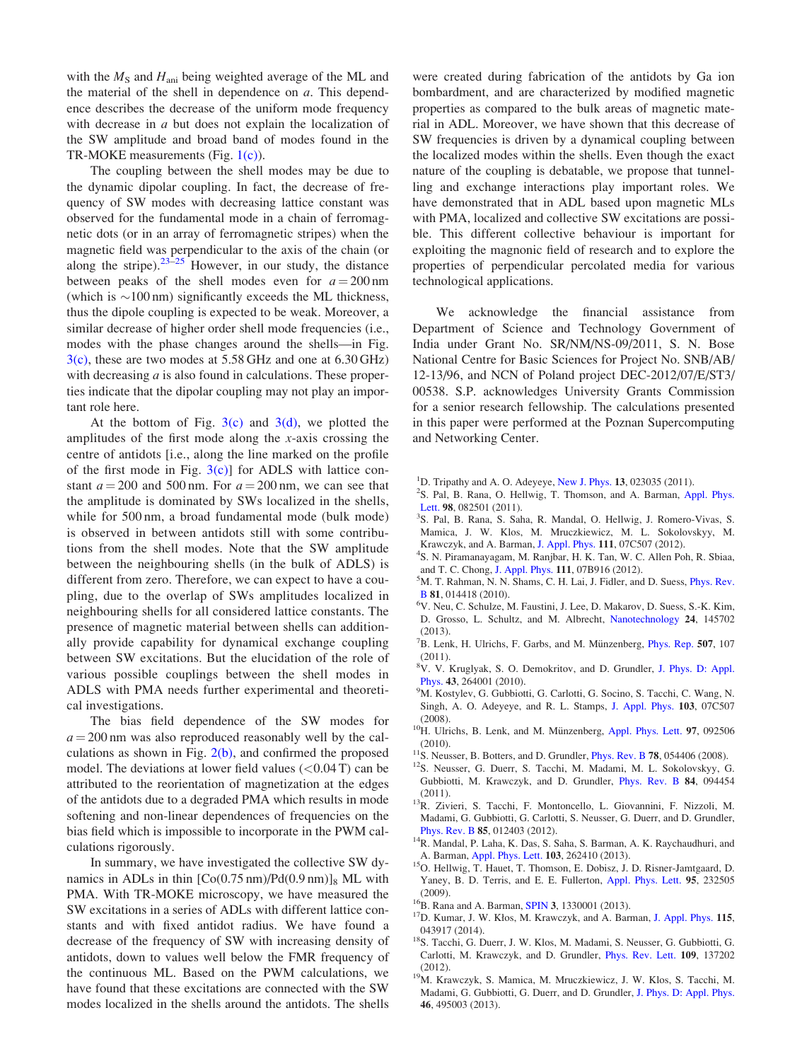<span id="page-3-0"></span>with the  $M<sub>S</sub>$  and  $H<sub>ani</sub>$  being weighted average of the ML and the material of the shell in dependence on  $a$ . This dependence describes the decrease of the uniform mode frequency with decrease in  $a$  but does not explain the localization of the SW amplitude and broad band of modes found in the TR-MOKE measurements (Fig. [1\(c\)\)](#page-1-0).

The coupling between the shell modes may be due to the dynamic dipolar coupling. In fact, the decrease of frequency of SW modes with decreasing lattice constant was observed for the fundamental mode in a chain of ferromagnetic dots (or in an array of ferromagnetic stripes) when the magnetic field was perpendicular to the axis of the chain (or along the stripe). $23-25$  However, in our study, the distance between peaks of the shell modes even for  $a = 200$  nm (which is  $\sim$ 100 nm) significantly exceeds the ML thickness, thus the dipole coupling is expected to be weak. Moreover, a similar decrease of higher order shell mode frequencies (i.e., modes with the phase changes around the shells—in Fig.  $3(c)$ , these are two modes at 5.58 GHz and one at 6.30 GHz) with decreasing  $a$  is also found in calculations. These properties indicate that the dipolar coupling may not play an important role here.

At the bottom of Fig.  $3(c)$  and  $3(d)$ , we plotted the amplitudes of the first mode along the x-axis crossing the centre of antidots [i.e., along the line marked on the profile of the first mode in Fig.  $3(c)$ ] for ADLS with lattice constant  $a = 200$  and 500 nm. For  $a = 200$  nm, we can see that the amplitude is dominated by SWs localized in the shells, while for 500 nm, a broad fundamental mode (bulk mode) is observed in between antidots still with some contributions from the shell modes. Note that the SW amplitude between the neighbouring shells (in the bulk of ADLS) is different from zero. Therefore, we can expect to have a coupling, due to the overlap of SWs amplitudes localized in neighbouring shells for all considered lattice constants. The presence of magnetic material between shells can additionally provide capability for dynamical exchange coupling between SW excitations. But the elucidation of the role of various possible couplings between the shell modes in ADLS with PMA needs further experimental and theoretical investigations.

The bias field dependence of the SW modes for  $a = 200$  nm was also reproduced reasonably well by the calculations as shown in Fig.  $2(b)$ , and confirmed the proposed model. The deviations at lower field values  $(<0.04$  T) can be attributed to the reorientation of magnetization at the edges of the antidots due to a degraded PMA which results in mode softening and non-linear dependences of frequencies on the bias field which is impossible to incorporate in the PWM calculations rigorously.

In summary, we have investigated the collective SW dynamics in ADLs in thin  $[Co(0.75 \text{ nm})/Pd(0.9 \text{ nm})]_8$  ML with PMA. With TR-MOKE microscopy, we have measured the SW excitations in a series of ADLs with different lattice constants and with fixed antidot radius. We have found a decrease of the frequency of SW with increasing density of antidots, down to values well below the FMR frequency of the continuous ML. Based on the PWM calculations, we have found that these excitations are connected with the SW modes localized in the shells around the antidots. The shells were created during fabrication of the antidots by Ga ion bombardment, and are characterized by modified magnetic properties as compared to the bulk areas of magnetic material in ADL. Moreover, we have shown that this decrease of SW frequencies is driven by a dynamical coupling between the localized modes within the shells. Even though the exact nature of the coupling is debatable, we propose that tunnelling and exchange interactions play important roles. We have demonstrated that in ADL based upon magnetic MLs with PMA, localized and collective SW excitations are possible. This different collective behaviour is important for exploiting the magnonic field of research and to explore the properties of perpendicular percolated media for various technological applications.

We acknowledge the financial assistance from Department of Science and Technology Government of India under Grant No. SR/NM/NS-09/2011, S. N. Bose National Centre for Basic Sciences for Project No. SNB/AB/ 12-13/96, and NCN of Poland project DEC-2012/07/E/ST3/ 00538. S.P. acknowledges University Grants Commission for a senior research fellowship. The calculations presented in this paper were performed at the Poznan Supercomputing and Networking Center.

- <sup>1</sup>D. Tripathy and A. O. Adeyeye, [New J. Phys.](http://dx.doi.org/10.1088/1367-2630/13/2/023035) **13**, 023035 (2011).
- <sup>2</sup>S. Pal, B. Rana, O. Hellwig, T. Thomson, and A. Barman, [Appl. Phys.](http://dx.doi.org/10.1063/1.3559222) [Lett.](http://dx.doi.org/10.1063/1.3559222) 98, 082501 (2011).
- <sup>3</sup>S. Pal, B. Rana, S. Saha, R. Mandal, O. Hellwig, J. Romero-Vivas, S. Mamica, J. W. Klos, M. Mruczkiewicz, M. L. Sokolovskyy, M. Krawczyk, and A. Barman, [J. Appl. Phys.](http://dx.doi.org/10.1063/1.3672857) <sup>111</sup>, 07C507 (2012). <sup>4</sup>
- <sup>4</sup>S. N. Piramanayagam, M. Ranjbar, H. K. Tan, W. C. Allen Poh, R. Sbiaa, and T. C. Chong, [J. Appl. Phys.](http://dx.doi.org/10.1063/1.3678305) 111, 07B916 (2012).
- <sup>5</sup>M. T. Rahman, N. N. Shams, C. H. Lai, J. Fidler, and D. Suess, *[Phys. Rev.](http://dx.doi.org/10.1103/PhysRevB.81.014418)*
- [B](http://dx.doi.org/10.1103/PhysRevB.81.014418) 81, 014418 (2010).<br>
<sup>6</sup>V. Neu, C. Schulze, M. Faustini, J. Lee, D. Makarov, D. Suess, S.-K. Kim, D. Grosso, L. Schultz, and M. Albrecht, [Nanotechnology](http://dx.doi.org/10.1088/0957-4484/24/14/145702) 24, 145702 (2013).
- <sup>7</sup>B. Lenk, H. Ulrichs, F. Garbs, and M. Münzenberg, *[Phys. Rep.](http://dx.doi.org/10.1016/j.physrep.2011.06.003)* 507, 107 (2011).
- 8 V. V. Kruglyak, S. O. Demokritov, and D. Grundler, [J. Phys. D: Appl.](http://dx.doi.org/10.1088/0022-3727/43/26/264001) [Phys.](http://dx.doi.org/10.1088/0022-3727/43/26/264001) 43, 264001 (2010).
- M. Kostylev, G. Gubbiotti, G. Carlotti, G. Socino, S. Tacchi, C. Wang, N. Singh, A. O. Adeyeye, and R. L. Stamps, [J. Appl. Phys.](http://dx.doi.org/10.1063/1.2831792) 103, 07C507
- (2008). <sup>10</sup>H. Ulrichs, B. Lenk, and M. Münzenberg, [Appl. Phys. Lett.](http://dx.doi.org/10.1063/1.3483136) **97**, 092506
- 
- (2010).  $11$ S. Neusser, B. Botters, and D. Grundler, *[Phys. Rev. B](http://dx.doi.org/10.1103/PhysRevB.78.054406)* **78**, 054406 (2008).  $12$ S. Neusser, G. Duerr, S. Tacchi, M. Madami, M. L. Sokolovskyy, G. Gubbiotti, M. Krawczyk, and D. Grundler, [Phys. Rev. B](http://dx.doi.org/10.1103/PhysRevB.84.094454) 84, 094454
- (2011).  $13R$ . Zivieri, S. Tacchi, F. Montoncello, L. Giovannini, F. Nizzoli, M. Madami, G. Gubbiotti, G. Carlotti, S. Neusser, G. Duerr, and D. Grundler,
- [Phys. Rev. B](http://dx.doi.org/10.1103/PhysRevB.85.012403) 85, 012403 (2012). <sup>14</sup>R. Mandal, P. Laha, K. Das, S. Saha, S. Barman, A. K. Raychaudhuri, and
- A. Barman, [Appl. Phys. Lett.](http://dx.doi.org/10.1063/1.4860959) 103, 262410 (2013). <sup>15</sup>O. Hellwig, T. Hauet, T. Thomson, E. Dobisz, J. D. Risner-Jamtgaard, D. Yaney, B. D. Terris, and E. E. Fullerton, [Appl. Phys. Lett.](http://dx.doi.org/10.1063/1.3271679) 95, 232505
- 
- (2009).  $^{16}$ B. Rana and A. Barman, [SPIN](http://dx.doi.org/10.1142/S2010324713300016) 3, 1330001 (2013).  $^{17}$ D. Kumar, J. W. Kłos, M. Krawczyk, and A. Barman, [J. Appl. Phys.](http://dx.doi.org/10.1063/1.4862911) 115,
- 043917 (2014). 18S. Tacchi, G. Duerr, J. W. Klos, M. Madami, S. Neusser, G. Gubbiotti, G. Carlotti, M. Krawczyk, and D. Grundler, [Phys. Rev. Lett.](http://dx.doi.org/10.1103/PhysRevLett.109.137202) 109, 137202
- (2012).  $19M$ . Krawczyk, S. Mamica, M. Mruczkiewicz, J. W. Klos, S. Tacchi, M. Madami, G. Gubbiotti, G. Duerr, and D. Grundler, [J. Phys. D: Appl. Phys.](http://dx.doi.org/10.1088/0022-3727/46/49/495003) 46, 495003 (2013).